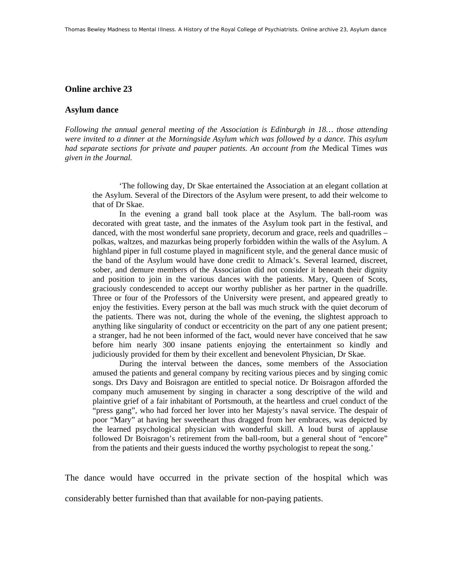## **Online archive 23**

## **Asylum dance**

*Following the annual general meeting of the Association is Edinburgh in 18… those attending were invited to a dinner at the Morningside Asylum which was followed by a dance. This asylum had separate sections for private and pauper patients. An account from the* Medical Times *was given in the Journal.* 

'The following day, Dr Skae entertained the Association at an elegant collation at the Asylum. Several of the Directors of the Asylum were present, to add their welcome to that of Dr Skae.

In the evening a grand ball took place at the Asylum. The ball-room was decorated with great taste, and the inmates of the Asylum took part in the festival, and danced, with the most wonderful sane propriety, decorum and grace, reels and quadrilles – polkas, waltzes, and mazurkas being properly forbidden within the walls of the Asylum. A highland piper in full costume played in magnificent style, and the general dance music of the band of the Asylum would have done credit to Almack's. Several learned, discreet, sober, and demure members of the Association did not consider it beneath their dignity and position to join in the various dances with the patients. Mary, Queen of Scots, graciously condescended to accept our worthy publisher as her partner in the quadrille. Three or four of the Professors of the University were present, and appeared greatly to enjoy the festivities. Every person at the ball was much struck with the quiet decorum of the patients. There was not, during the whole of the evening, the slightest approach to anything like singularity of conduct or eccentricity on the part of any one patient present; a stranger, had he not been informed of the fact, would never have conceived that he saw before him nearly 300 insane patients enjoying the entertainment so kindly and judiciously provided for them by their excellent and benevolent Physician, Dr Skae.

During the interval between the dances, some members of the Association amused the patients and general company by reciting various pieces and by singing comic songs. Drs Davy and Boisragon are entitled to special notice. Dr Boisragon afforded the company much amusement by singing in character a song descriptive of the wild and plaintive grief of a fair inhabitant of Portsmouth, at the heartless and cruel conduct of the "press gang", who had forced her lover into her Majesty's naval service. The despair of poor "Mary" at having her sweetheart thus dragged from her embraces, was depicted by the learned psychological physician with wonderful skill. A loud burst of applause followed Dr Boisragon's retirement from the ball-room, but a general shout of "encore" from the patients and their guests induced the worthy psychologist to repeat the song.'

The dance would have occurred in the private section of the hospital which was considerably better furnished than that available for non-paying patients.